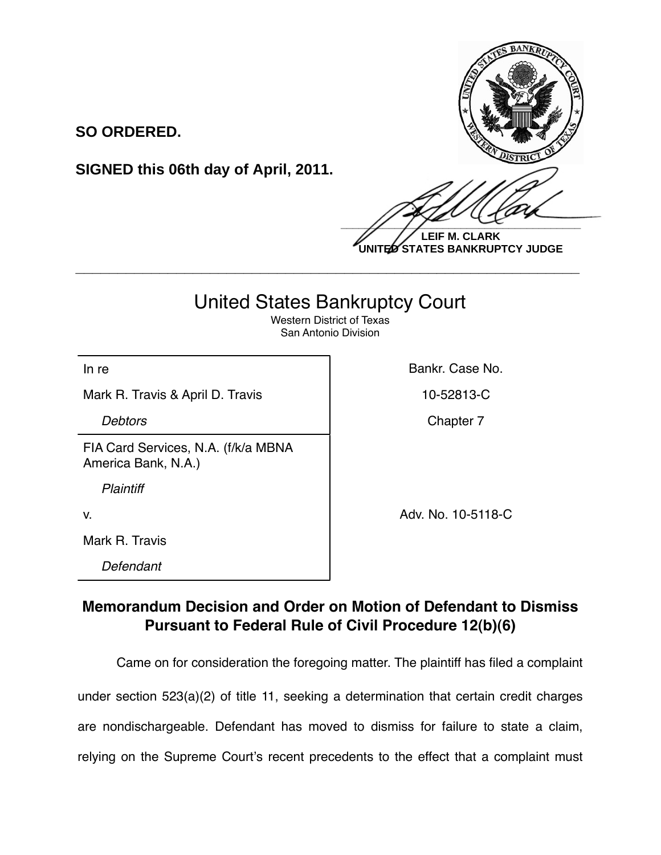

**LEIF M. CLARK UNITED STATES BANKRUPTCY JUDGE**

## United States Bankruptcy Court

**\_\_\_\_\_\_\_\_\_\_\_\_\_\_\_\_\_\_\_\_\_\_\_\_\_\_\_\_\_\_\_\_\_\_\_\_\_\_\_\_\_\_\_\_\_\_\_\_\_\_\_\_\_\_\_\_\_\_\_\_**

Western District of Texas San Antonio Division

Mark R. Travis & April D. Travis 10-52813-C

**SO ORDERED.**

FIA Card Services, N.A. (f/k/a MBNA America Bank, N.A.)

**SIGNED this 06th day of April, 2011.**

*Plaintiff*

Mark R. Travis

*Defendant*

In re **Bankr.** Case No.

**Debtors** Chapter 7

v. Adv. No. 10-5118-C

## **Memorandum Decision and Order on Motion of Defendant to Dismiss Pursuant to Federal Rule of Civil Procedure 12(b)(6)**

Came on for consideration the foregoing matter. The plaintiff has filed a complaint under section 523(a)(2) of title 11, seeking a determination that certain credit charges are nondischargeable. Defendant has moved to dismiss for failure to state a claim, relying on the Supreme Court's recent precedents to the effect that a complaint must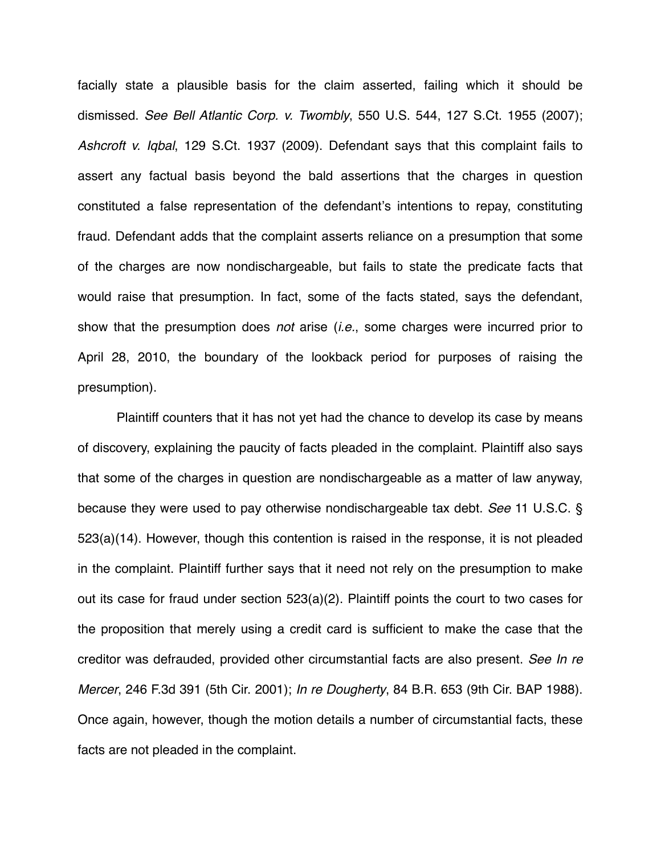facially state a plausible basis for the claim asserted, failing which it should be dismissed. *See Bell Atlantic Corp. v. Twombly*, 550 U.S. 544, 127 S.Ct. 1955 (2007); *Ashcroft v. Iqbal*, 129 S.Ct. 1937 (2009). Defendant says that this complaint fails to assert any factual basis beyond the bald assertions that the charges in question constituted a false representation of the defendant's intentions to repay, constituting fraud. Defendant adds that the complaint asserts reliance on a presumption that some of the charges are now nondischargeable, but fails to state the predicate facts that would raise that presumption. In fact, some of the facts stated, says the defendant, show that the presumption does *not* arise (*i.e.*, some charges were incurred prior to April 28, 2010, the boundary of the lookback period for purposes of raising the presumption).

Plaintiff counters that it has not yet had the chance to develop its case by means of discovery, explaining the paucity of facts pleaded in the complaint. Plaintiff also says that some of the charges in question are nondischargeable as a matter of law anyway, because they were used to pay otherwise nondischargeable tax debt. *See* 11 U.S.C. § 523(a)(14). However, though this contention is raised in the response, it is not pleaded in the complaint. Plaintiff further says that it need not rely on the presumption to make out its case for fraud under section 523(a)(2). Plaintiff points the court to two cases for the proposition that merely using a credit card is sufficient to make the case that the creditor was defrauded, provided other circumstantial facts are also present. *See In re Mercer*, 246 F.3d 391 (5th Cir. 2001); *In re Dougherty*, 84 B.R. 653 (9th Cir. BAP 1988). Once again, however, though the motion details a number of circumstantial facts, these facts are not pleaded in the complaint.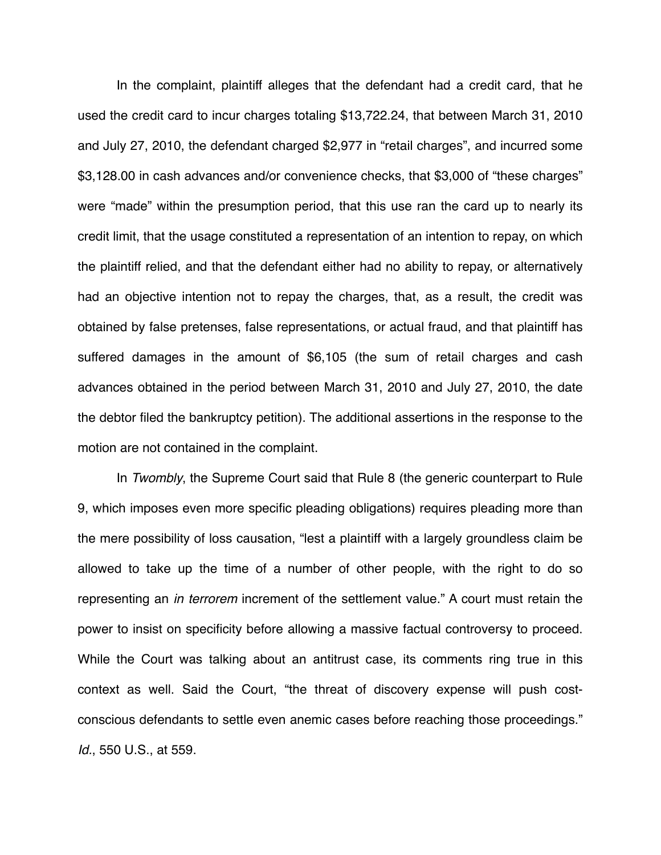In the complaint, plaintiff alleges that the defendant had a credit card, that he used the credit card to incur charges totaling \$13,722.24, that between March 31, 2010 and July 27, 2010, the defendant charged \$2,977 in "retail charges", and incurred some \$3,128.00 in cash advances and/or convenience checks, that \$3,000 of "these charges" were "made" within the presumption period, that this use ran the card up to nearly its credit limit, that the usage constituted a representation of an intention to repay, on which the plaintiff relied, and that the defendant either had no ability to repay, or alternatively had an objective intention not to repay the charges, that, as a result, the credit was obtained by false pretenses, false representations, or actual fraud, and that plaintiff has suffered damages in the amount of \$6,105 (the sum of retail charges and cash advances obtained in the period between March 31, 2010 and July 27, 2010, the date the debtor filed the bankruptcy petition). The additional assertions in the response to the motion are not contained in the complaint.

In *Twombly*, the Supreme Court said that Rule 8 (the generic counterpart to Rule 9, which imposes even more specific pleading obligations) requires pleading more than the mere possibility of loss causation, "lest a plaintiff with a largely groundless claim be allowed to take up the time of a number of other people, with the right to do so representing an *in terrorem* increment of the settlement value." A court must retain the power to insist on specificity before allowing a massive factual controversy to proceed. While the Court was talking about an antitrust case, its comments ring true in this context as well. Said the Court, "the threat of discovery expense will push costconscious defendants to settle even anemic cases before reaching those proceedings." *Id.*, 550 U.S., at 559.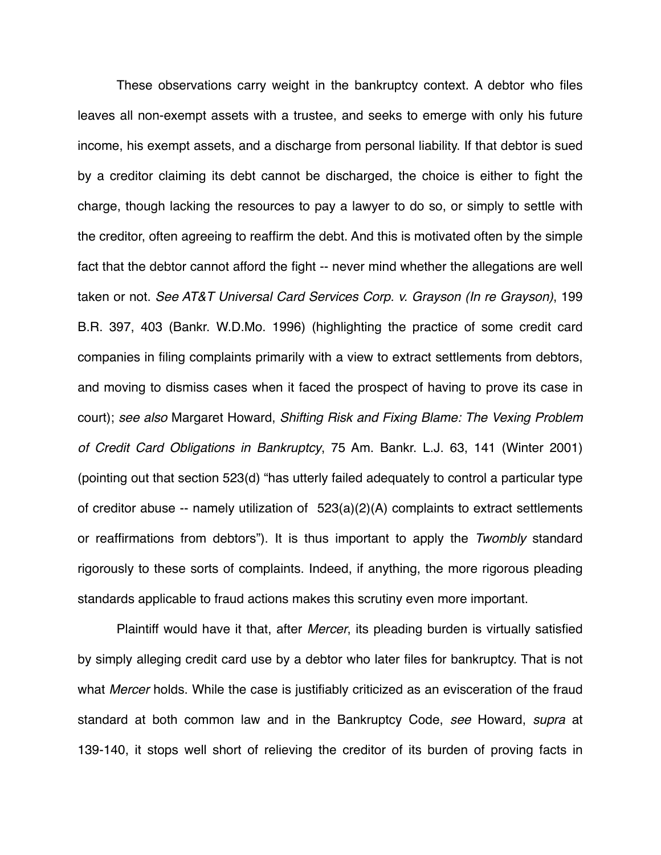These observations carry weight in the bankruptcy context. A debtor who files leaves all non-exempt assets with a trustee, and seeks to emerge with only his future income, his exempt assets, and a discharge from personal liability. If that debtor is sued by a creditor claiming its debt cannot be discharged, the choice is either to fight the charge, though lacking the resources to pay a lawyer to do so, or simply to settle with the creditor, often agreeing to reaffirm the debt. And this is motivated often by the simple fact that the debtor cannot afford the fight -- never mind whether the allegations are well taken or not. *See AT&T Universal Card Services Corp. v. Grayson (In re Grayson)*, 199 B.R. 397, 403 (Bankr. W.D.Mo. 1996) (highlighting the practice of some credit card companies in filing complaints primarily with a view to extract settlements from debtors, and moving to dismiss cases when it faced the prospect of having to prove its case in court); *see also* Margaret Howard, *Shifting Risk and Fixing Blame: The Vexing Problem of Credit Card Obligations in Bankruptcy*, 75 Am. Bankr. L.J. 63, 141 (Winter 2001) (pointing out that section 523(d) "has utterly failed adequately to control a particular type of creditor abuse -- namely utilization of  $523(a)(2)(A)$  complaints to extract settlements or reaffirmations from debtors"). It is thus important to apply the *Twombly* standard rigorously to these sorts of complaints. Indeed, if anything, the more rigorous pleading standards applicable to fraud actions makes this scrutiny even more important.

Plaintiff would have it that, after *Mercer*, its pleading burden is virtually satisfied by simply alleging credit card use by a debtor who later files for bankruptcy. That is not what *Mercer* holds. While the case is justifiably criticized as an evisceration of the fraud standard at both common law and in the Bankruptcy Code, *see* Howard, *supra* at 139-140, it stops well short of relieving the creditor of its burden of proving facts in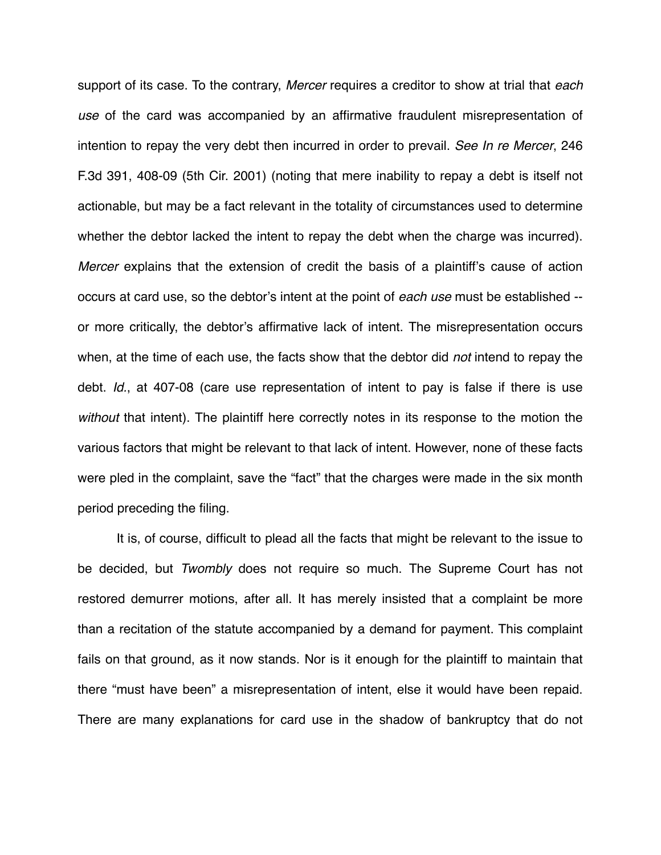support of its case. To the contrary, *Mercer* requires a creditor to show at trial that *each use* of the card was accompanied by an affirmative fraudulent misrepresentation of intention to repay the very debt then incurred in order to prevail. *See In re Mercer*, 246 F.3d 391, 408-09 (5th Cir. 2001) (noting that mere inability to repay a debt is itself not actionable, but may be a fact relevant in the totality of circumstances used to determine whether the debtor lacked the intent to repay the debt when the charge was incurred). *Mercer* explains that the extension of credit the basis of a plaintiff's cause of action occurs at card use, so the debtor's intent at the point of *each use* must be established - or more critically, the debtor's affirmative lack of intent. The misrepresentation occurs when, at the time of each use, the facts show that the debtor did *not* intend to repay the debt. *Id.*, at 407-08 (care use representation of intent to pay is false if there is use *without* that intent). The plaintiff here correctly notes in its response to the motion the various factors that might be relevant to that lack of intent. However, none of these facts were pled in the complaint, save the "fact" that the charges were made in the six month period preceding the filing.

It is, of course, difficult to plead all the facts that might be relevant to the issue to be decided, but *Twombly* does not require so much. The Supreme Court has not restored demurrer motions, after all. It has merely insisted that a complaint be more than a recitation of the statute accompanied by a demand for payment. This complaint fails on that ground, as it now stands. Nor is it enough for the plaintiff to maintain that there "must have been" a misrepresentation of intent, else it would have been repaid. There are many explanations for card use in the shadow of bankruptcy that do not